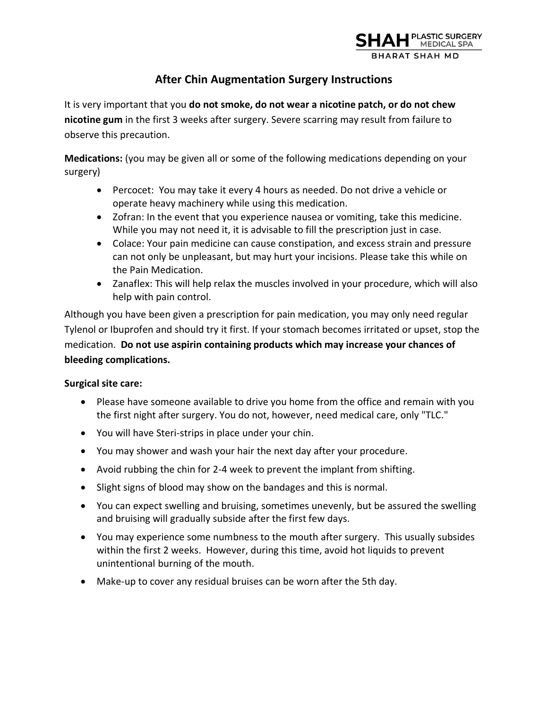

# **After Chin Augmentation Surgery Instructions**

It is very important that you **do not smoke, do not wear a nicotine patch, or do not chew nicotine gum** in the first 3 weeks after surgery. Severe scarring may result from failure to observe this precaution.

**Medications:** (you may be given all or some of the following medications depending on your surgery)

- Percocet: You may take it every 4 hours as needed. Do not drive a vehicle or operate heavy machinery while using this medication.
- Zofran: In the event that you experience nausea or vomiting, take this medicine. While you may not need it, it is advisable to fill the prescription just in case.
- Colace: Your pain medicine can cause constipation, and excess strain and pressure can not only be unpleasant, but may hurt your incisions. Please take this while on the Pain Medication.
- Zanaflex: This will help relax the muscles involved in your procedure, which will also help with pain control.

Although you have been given a prescription for pain medication, you may only need regular Tylenol or Ibuprofen and should try it first. If your stomach becomes irritated or upset, stop the medication. **Do not use aspirin containing products which may increase your chances of bleeding complications.** 

#### **Surgical site care:**

- Please have someone available to drive you home from the office and remain with you the first night after surgery. You do not, however, need medical care, only "TLC."
- You will have Steri-strips in place under your chin.
- You may shower and wash your hair the next day after your procedure.
- Avoid rubbing the chin for 2-4 week to prevent the implant from shifting.
- Slight signs of blood may show on the bandages and this is normal.
- You can expect swelling and bruising, sometimes unevenly, but be assured the swelling and bruising will gradually subside after the first few days.
- You may experience some numbness to the mouth after surgery. This usually subsides within the first 2 weeks. However, during this time, avoid hot liquids to prevent unintentional burning of the mouth.
- Make-up to cover any residual bruises can be worn after the 5th day.